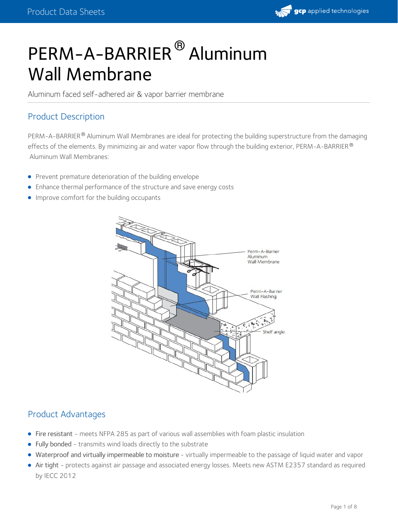

# PERM-A-BARRIER® Aluminum Wall Membrane

Aluminum faced self-adhered air & vapor barrier membrane

## Product Description

PERM-A-BARRIER $^\circledR$  Aluminum Wall Membranes are ideal for protecting the building superstructure from the damaging effects of the elements. By minimizing air and water vapor flow through the building exterior, <code>PERM-A-BARRIER</code>  $^\circ$ Aluminum Wall Membranes:

- **•** Prevent premature deterioration of the building [envelope](https://gcpat.com/en/about/news/blog/air-barriers-an-essential-part-building-envelope)
- Enhance thermal performance of the structure and save energy costs
- **Improve comfort for the building occupants**



## Product Advantages

- Fire resistant meets NFPA 285 as part of various wall assemblies with foam plastic insulation
- Fully bonded transmits wind loads directly to the substrate
- Waterproof and virtually impermeable to moisture virtually impermeable to the passage of liquid water and vapor
- Air tight protects against air passage and associated energy losses. Meets new ASTM E2357 standard as required by IECC 2012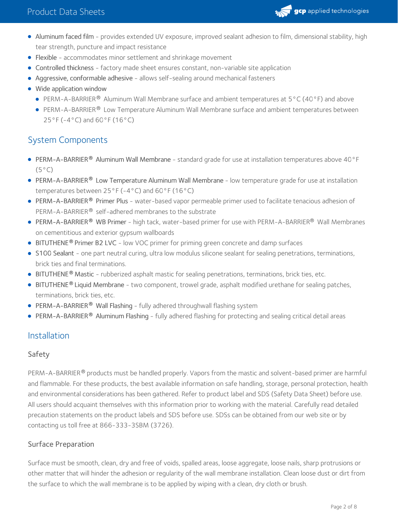

- Aluminum faced film provides extended UV exposure, improved sealant adhesion to film, dimensional stability, high tear strength, puncture and impact resistance
- Flexible accommodates minor settlement and shrinkage movement
- Controlled thickness factory made sheet ensures constant, non-variable site application
- Aggressive, conformable adhesive allows self-sealing around mechanical fasteners
- Wide application window
	- **PERM-A-BARRIER**<sup>®</sup> Aluminum Wall Membrane surface and ambient temperatures at  $5^{\circ}$ C (40°F) and above
	- PERM-A-BARRIER® Low Temperature Aluminum Wall Membrane surface and ambient temperatures between 25°F (-4°C) and 60°F (16°C)

## System Components

- PERM-A-BARRIER® Aluminum Wall Membrane standard grade for use at installation temperatures above 40°F  $(5^{\circ}C)$
- PERM-A-BARRIER® Low Temperature Aluminum Wall Membrane low temperature grade for use at installation temperatures between 25°F (-4°C) and 60°F (16°C)
- [PERM-A-BARRIER](https://gcpat.com/solutions/products/perm-a-barrier-air-barrier-system/perm-a-barrier-primer-plus)® Primer Plus water-based vapor permeable primer used to facilitate tenacious adhesion of PERM-A-BARRIER® self-adhered membranes to the substrate
- [PERM-A-BARRIER](https://gcpat.com/solutions/products/perm-a-barrier-air-barrier-system/perm-a-barrier-wb-primer)® WB Primer high tack, water-based primer for use with PERM-A-BARRIER® Wall Membranes on cementitious and exterior gypsum wallboards
- **[BITUTHENE](https://gcpat.com/solutions/products/bituthene-post-applied-waterproofing/bituthene-adhesive-primer-b2-lvc)<sup>®</sup> Primer B2 LVC** low VOC primer for priming green concrete and damp surfaces
- S100 [Sealant](https://gcpat.com/solutions/products/perm-a-barrier-air-barrier-system/perm-a-barrier-s100-sealant) one part neutral curing, ultra low modulus silicone sealant for sealing penetrations, terminations, brick ties and final terminations.
- [BITUTHENE](https://gcpat.com/solutions/products/bituthene-post-applied-waterproofing/bituthene-mastic)<sup>®</sup> Mastic rubberized asphalt mastic for sealing penetrations, terminations, brick ties, etc.
- [BITUTHENE](https://gcpat.com/solutions/products/bituthene-post-applied-waterproofing/bituthene-liquid-membrane)® Liquid Membrane two component, trowel grade, asphalt modified urethane for sealing patches, terminations, brick ties, etc.
- [PERM-A-BARRIER](https://gcpat.com/solutions/products/perm-a-barrier-air-barrier-system/perm-a-barrier-wall-flashing) **®** Wall Flashing fully adhered throughwall flashing system
- **[PERM-A-BARRIER](https://gcpat.com/solutions/products/perm-a-barrier-air-barrier-system/perm-a-barrier-aluminum-flashing)<sup>®</sup> Aluminum Flashing fully adhered flashing for protecting and sealing critical detail areas**

## Installation

#### Safety

PERM-A-BARRIER® products must be handled properly. Vapors from the mastic and solvent-based primer are harmful and flammable. For these products, the best available information on safe handling, storage, personal protection, health and environmental considerations has been gathered. Refer to product label and SDS (Safety Data Sheet) before use. All users should acquaint themselves with this information prior to working with the material. Carefully read detailed precaution statements on the product labels and SDS before use. SDSs can be obtained from our web site or by contacting us toll free at 866-333-3SBM (3726).

#### Surface Preparation

Surface must be smooth, clean, dry and free of voids, spalled areas, loose aggregate, loose nails, sharp protrusions or other matter that will hinder the adhesion or regularity of the wall membrane installation. Clean loose dust or dirt from the surface to which the wall membrane is to be applied by wiping with a clean, dry cloth or brush.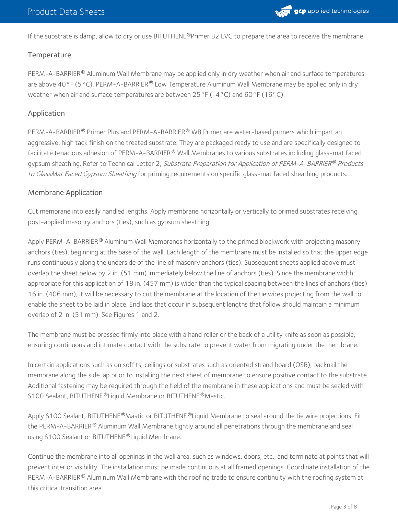

If the substrate is damp, allow to dry or use BITUTHENE®Primer B2 LVC to prepare the area to receive the membrane.

#### **Temperature**

PERM-A-BARRIER® Aluminum Wall Membrane may be applied only in dry weather when air and surface temperatures are above 40°F (5°C). PERM-A-BARRIER® Low Temperature Aluminum Wall Membrane may be applied only in dry weather when air and surface temperatures are between  $25^{\circ}F(-4^{\circ}C)$  and  $60^{\circ}F(16^{\circ}C)$ .

#### Application

PERM-A-BARRIER® Primer Plus and PERM-A-BARRIER® WB Primer are water-based primers which impart an aggressive, high tack finish on the treated substrate. They are packaged ready to use and are specifically designed to facilitate tenacious adhesion of PERM-A-BARRIER® Wall Membranes to various substrates including glass-mat faced gypsum sheathing. Refer to Technical Letter 2, *Substrate Preparation for Application of PERM-A-BARRIER® Products* to GlassMat Faced Gypsum Sheathing for priming requirements on specific glass-mat faced sheathing products.

#### Membrane Application

Cut membrane into easily handled lengths. Apply membrane horizontally or vertically to primed substrates receiving post-applied masonry anchors (ties), such as gypsum sheathing.

Apply PERM-A-BARRIER $^\circledR$  Aluminum Wall Membranes horizontally to the primed blockwork with projecting masonry anchors (ties), beginning at the base of the wall. Each length of the membrane must be installed so that the upper edge runs continuously along the underside of the line of masonry anchors (ties). Subsequent sheets applied above must overlap the sheet below by 2 in. (51 mm) immediately below the line of anchors (ties). Since the membrane width appropriate for this application of 18 in. (457 mm) is wider than the typical spacing between the lines of anchors (ties) 16 in. (406 mm), it will be necessary to cut the membrane at the location of the tie wires projecting from the wall to enable the sheet to be laid in place. End laps that occur in subsequent lengths that follow should maintain a minimum overlap of 2 in. (51 mm). See Figures 1 and 2.

The membrane must be pressed firmly into place with a hand roller or the back of a utility knife as soon as possible, ensuring continuous and intimate contact with the substrate to prevent water from migrating under the membrane.

In certain applications such as on soffits, ceilings or substrates such as oriented strand board (OSB), backnail the membrane along the side lap prior to installing the next sheet of membrane to ensure positive contact to the substrate. Additional fastening may be required through the field of the membrane in these applications and must be sealed with S100 Sealant, BITUTHENE®Liquid Membrane or BITUTHENE®Mastic.

Apply S100 Sealant, BITUTHENE®Mastic or BITUTHENE®Liquid Membrane to seal around the tie wire projections. Fit the PERM-A-BARRIER  $^\circledR$  Aluminum Wall Membrane tightly around all penetrations through the membrane and seal using S100 Sealant or BITUTHENE®Liquid Membrane.

Continue the membrane into all openings in the wall area, such as windows, doors, etc., and terminate at points that will prevent interior visibility. The installation must be made continuous at all framed openings. Coordinate installation of the PERM-A-BARRIER $^\circledR$  Aluminum Wall Membrane with the roofing trade to ensure continuity with the roofing system at this critical transition area.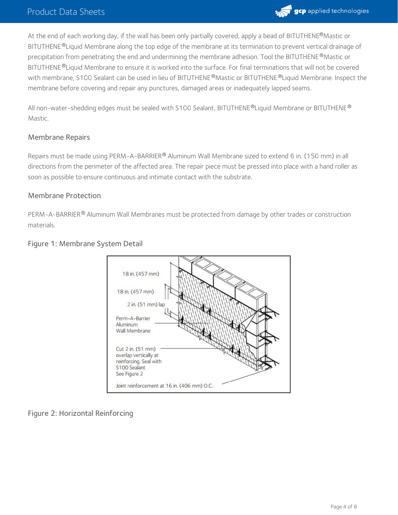## Product Data Sheets



At the end of each working day, if the wall has been only partially covered, apply a bead of BITUTHENE®Mastic or BITUTHENE®Liquid Membrane along the top edge of the membrane at its termination to prevent vertical drainage of precipitation from penetrating the end and undermining the membrane adhesion. Tool the BITUTHENE  $^\circledR$ Mastic or BITUTHENE ®Liquid Membrane to ensure it is worked into the surface. For final terminations that will not be covered with membrane, S100 Sealant can be used in lieu of BITUTHENE®Mastic or BITUTHENE®Liquid Membrane. Inspect the membrane before covering and repair any punctures, damaged areas or inadequately lapped seams.

All non-water-shedding edges must be sealed with <code>S100</code> Sealant, <code>BITUTHENE®Liquid</code> Membrane or <code>BITUTHENE®</code> Mastic.

#### Membrane Repairs

Repairs must be made using PERM-A-BARRIER® Aluminum Wall Membrane sized to extend 6 in. (150 mm) in all directions from the perimeter of the affected area. The repair piece must be pressed into place with a hand roller as soon as possible to ensure continuous and intimate contact with the substrate.

#### Membrane Protection

PERM-A-BARRIER® Aluminum Wall Membranes must be protected from damage by other trades or construction materials.



#### Figure 1: Membrane System Detail

Figure 2: Horizontal Reinforcing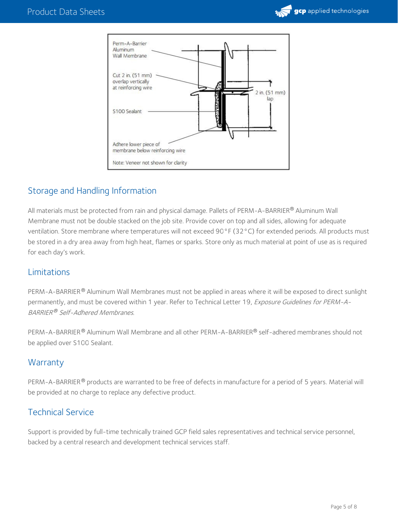



## Storage and Handling Information

All materials must be protected from rain and physical damage. Pallets of PERM-A-BARRIER® Aluminum Wall Membrane must not be double stacked on the job site. Provide cover on top and all sides, allowing for adequate ventilation. Store membrane where temperatures will not exceed 90°F (32°C) for extended periods. All products must be stored in a dry area away from high heat, flames or sparks. Store only as much material at point of use as is required for each day's work.

### Limitations

PERM-A-BARRIER® Aluminum Wall Membranes must not be applied in areas where it will be exposed to direct sunlight permanently, and must be covered within 1 year. Refer to Technical Letter 19, Exposure Guidelines for PERM-A-BARRIER® Self-Adhered Membranes.

PERM-A-BARRIER® Aluminum Wall Membrane and all other PERM-A-BARRIER® self-adhered membranes should not be applied over S100 Sealant.

## **Warranty**

PERM-A-BARRIER® products are warranted to be free of defects in manufacture for a period of 5 years. Material will be provided at no charge to replace any defective product.

## Technical Service

Support is provided by full-time technically trained GCP field sales representatives and technical service personnel, backed by a central research and development technical services staff.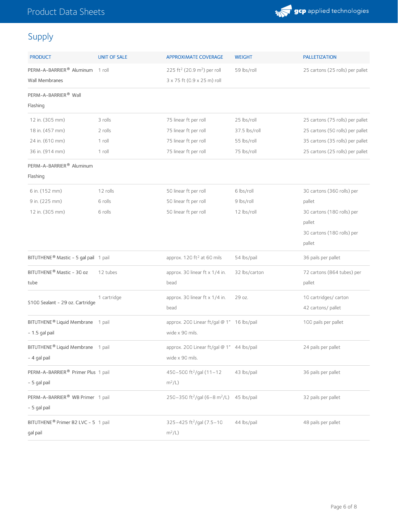

# Supply

| <b>PRODUCT</b>                                    | <b>UNIT OF SALE</b> | <b>APPROXIMATE COVERAGE</b>                          | <b>WEIGHT</b> | <b>PALLETIZATION</b>             |
|---------------------------------------------------|---------------------|------------------------------------------------------|---------------|----------------------------------|
| PERM-A-BARRIER <sup>®</sup> Aluminum 1 roll       |                     | 225 ft <sup>2</sup> (20.9 m <sup>2</sup> ) per roll  | 59 lbs/roll   | 25 cartons (25 rolls) per pallet |
| <b>Wall Membranes</b>                             |                     | 3 x 75 ft (0.9 x 25 m) roll                          |               |                                  |
| PERM-A-BARRIER <sup>®</sup> Wall                  |                     |                                                      |               |                                  |
| Flashing                                          |                     |                                                      |               |                                  |
| 12 in. (305 mm)                                   | 3 rolls             | 75 linear ft per roll                                | 25 lbs/roll   | 25 cartons (75 rolls) per pallet |
| 18 in. (457 mm)                                   | 2 rolls             | 75 linear ft per roll                                | 37.5 lbs/roll | 25 cartons (50 rolls) per pallet |
| 24 in. (610 mm)                                   | 1 roll              | 75 linear ft per roll                                | 55 lbs/roll   | 35 cartons (35 rolls) per pallet |
| 36 in. (914 mm)                                   | 1 roll              | 75 linear ft per roll                                | 75 lbs/roll   | 25 cartons (25 rolls) per pallet |
| PERM-A-BARRIER <sup>®</sup> Aluminum              |                     |                                                      |               |                                  |
| Flashing                                          |                     |                                                      |               |                                  |
| 6 in. (152 mm)                                    | 12 rolls            | 50 linear ft per roll                                | 6 lbs/roll    | 30 cartons (360 rolls) per       |
| 9 in. (225 mm)                                    | 6 rolls             | 50 linear ft per roll                                | 9 lbs/roll    | pallet                           |
| 12 in. (305 mm)                                   | 6 rolls             | 50 linear ft per roll                                | 12 lbs/roll   | 30 cartons (180 rolls) per       |
|                                                   |                     |                                                      |               | pallet                           |
|                                                   |                     |                                                      |               | 30 cartons (180 rolls) per       |
|                                                   |                     |                                                      |               | pallet                           |
| BITUTHENE <sup>®</sup> Mastic - 5 gal pail 1 pail |                     | approx. 120 ft <sup>2</sup> at 60 mils               | 54 lbs/pail   | 36 pails per pallet              |
| BITUTHENE® Mastic - 30 oz                         | 12 tubes            | approx. 30 linear ft x 1/4 in.                       | 32 lbs/carton | 72 cartons (864 tubes) per       |
| tube                                              |                     | bead                                                 |               | pallet                           |
| S100 Sealant - 29 oz. Cartridge                   | 1 cartridge         | approx. 30 linear ft x 1/4 in.                       | 29 oz.        | 10 cartridges/ carton            |
|                                                   |                     | bead                                                 |               | 42 cartons/ pallet               |
| BITUTHENE <sup>®</sup> Liquid Membrane 1 pail     |                     | approx. 200 Linear ft/gal @ 1" 16 lbs/pail           |               | 100 pails per pallet             |
| - 1.5 gal pail                                    |                     | wide x 90 mils.                                      |               |                                  |
| BITUTHENE® Liquid Membrane 1 pail                 |                     | approx. 200 Linear ft/gal @ 1" 44 lbs/pail           |               | 24 pails per pallet              |
| - 4 gal pail                                      |                     | wide x 90 mils.                                      |               |                                  |
| PERM-A-BARRIER® Primer Plus 1 pail                |                     | 450-500 ft <sup>2</sup> /gal (11-12                  | 43 lbs/pail   | 36 pails per pallet              |
| - 5 gal pail                                      |                     | $m^2/L$ )                                            |               |                                  |
| PERM-A-BARRIER® WB Primer 1 pail                  |                     | 250-350 ft <sup>2</sup> /gal (6-8 m <sup>2</sup> /L) | 45 lbs/pail   | 32 pails per pallet              |
| - 5 gal pail                                      |                     |                                                      |               |                                  |
| BITUTHENE <sup>®</sup> Primer B2 LVC - 5 1 pail   |                     | 325-425 ft <sup>2</sup> /gal (7.5-10                 | 44 lbs/pail   | 48 pails per pallet              |
| gal pail                                          |                     | $m^2/L$ )                                            |               |                                  |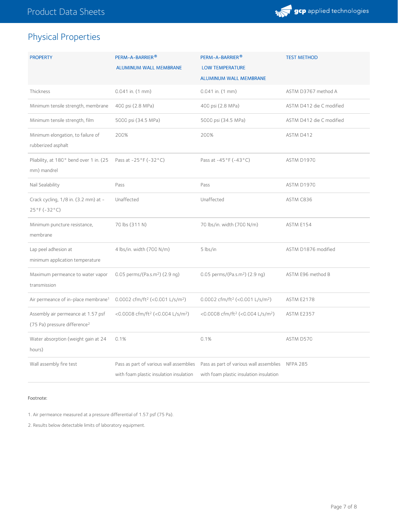

## Physical Properties

| <b>PROPERTY</b>                                                                | PERM-A-BARRIER <sup>®</sup><br><b>ALUMINUM WALL MEMBRANE</b>                       | PERM-A-BARRIER <sup>®</sup><br><b>LOW TEMPERATURE</b><br>ALUMINUM WALL MEMBRANE             | <b>TEST METHOD</b>       |
|--------------------------------------------------------------------------------|------------------------------------------------------------------------------------|---------------------------------------------------------------------------------------------|--------------------------|
| Thickness                                                                      | $0.041$ in. $(1$ mm)                                                               | 0.041 in. (1 mm)                                                                            | ASTM D3767 method A      |
| Minimum tensile strength, membrane                                             | 400 psi (2.8 MPa)                                                                  | 400 psi (2.8 MPa)                                                                           | ASTM D412 die C modified |
| Minimum tensile strength, film                                                 | 5000 psi (34.5 MPa)                                                                | 5000 psi (34.5 MPa)                                                                         | ASTM D412 die C modified |
| Minimum elongation, to failure of<br>rubberized asphalt                        | 200%                                                                               | 200%                                                                                        | ASTM D412                |
| Pliability, at 180° bend over 1 in. (25<br>mm) mandrel                         | Pass at $-25^{\circ}$ F ( $-32^{\circ}$ C)                                         | Pass at -45°F (-43°C)                                                                       | ASTM D1970               |
| Nail Sealability                                                               | Pass                                                                               | Pass                                                                                        | ASTM D1970               |
| Crack cycling, 1/8 in. (3.2 mm) at -<br>$25^{\circ}$ F (-32 $^{\circ}$ C)      | Unaffected                                                                         | Unaffected                                                                                  | ASTM C836                |
| Minimum puncture resistance,<br>membrane                                       | 70 lbs (311 N)                                                                     | 70 lbs/in. width (700 N/m)                                                                  | ASTM E154                |
| Lap peel adhesion at<br>minimum application temperature                        | 4 lbs/in. width (700 N/m)                                                          | 5 lbs/in                                                                                    | ASTM D1876 modified      |
| Maximum permeance to water vapor<br>transmission                               | 0.05 perms/(Pa.s.m <sup>2</sup> ) (2.9 ng)                                         | $0.05$ perms/(Pa.s.m <sup>2</sup> ) (2.9 ng)                                                | ASTM E96 method B        |
| Air permeance of in-place membrane <sup>1</sup>                                | 0.0002 cfm/ft <sup>2</sup> (<0.001 L/s/m <sup>2</sup> )                            | 0.0002 cfm/ft <sup>2</sup> (<0.001 L/s/m <sup>2</sup> )                                     | <b>ASTM E2178</b>        |
| Assembly air permeance at 1.57 psf<br>(75 Pa) pressure difference <sup>2</sup> | <0.0008 cfm/ft <sup>2</sup> (<0.004 L/s/m <sup>2</sup> )                           | <0.0008 cfm/ft <sup>2</sup> (<0.004 L/s/m <sup>2</sup> )                                    | <b>ASTM E2357</b>        |
| Water absorption (weight gain at 24<br>hours)                                  | 0.1%                                                                               | 0.1%                                                                                        | ASTM D570                |
| Wall assembly fire test                                                        | Pass as part of various wall assemblies<br>with foam plastic insulation insulation | Pass as part of various wall assemblies NFPA 285<br>with foam plastic insulation insulation |                          |

#### Footnote:

1. Air permeance measured at a pressure differential of 1.57 psf (75 Pa).

2. Results below detectable limits of laboratory equipment.